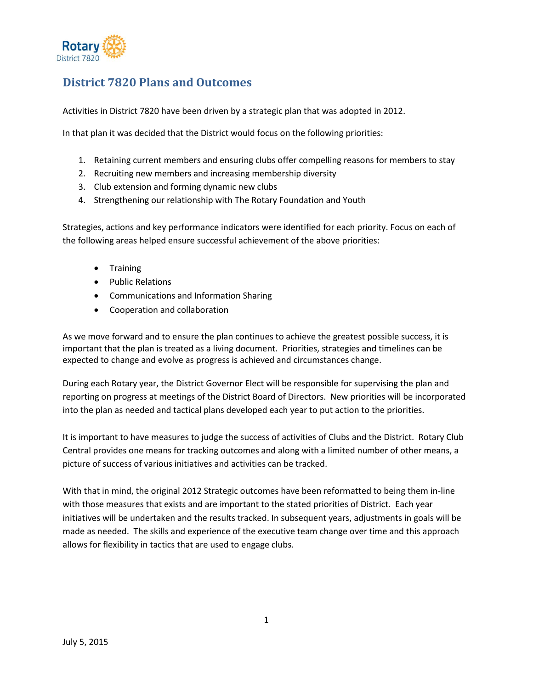

# **District 7820 Plans and Outcomes**

Activities in District 7820 have been driven by a strategic plan that was adopted in 2012.

In that plan it was decided that the District would focus on the following priorities:

- 1. Retaining current members and ensuring clubs offer compelling reasons for members to stay
- 2. Recruiting new members and increasing membership diversity
- 3. Club extension and forming dynamic new clubs
- 4. Strengthening our relationship with The Rotary Foundation and Youth

Strategies, actions and key performance indicators were identified for each priority. Focus on each of the following areas helped ensure successful achievement of the above priorities:

- **•** Training
- Public Relations
- Communications and Information Sharing
- Cooperation and collaboration

As we move forward and to ensure the plan continues to achieve the greatest possible success, it is important that the plan is treated as a living document. Priorities, strategies and timelines can be expected to change and evolve as progress is achieved and circumstances change.

During each Rotary year, the District Governor Elect will be responsible for supervising the plan and reporting on progress at meetings of the District Board of Directors. New priorities will be incorporated into the plan as needed and tactical plans developed each year to put action to the priorities.

It is important to have measures to judge the success of activities of Clubs and the District. Rotary Club Central provides one means for tracking outcomes and along with a limited number of other means, a picture of success of various initiatives and activities can be tracked.

With that in mind, the original 2012 Strategic outcomes have been reformatted to being them in-line with those measures that exists and are important to the stated priorities of District. Each year initiatives will be undertaken and the results tracked. In subsequent years, adjustments in goals will be made as needed. The skills and experience of the executive team change over time and this approach allows for flexibility in tactics that are used to engage clubs.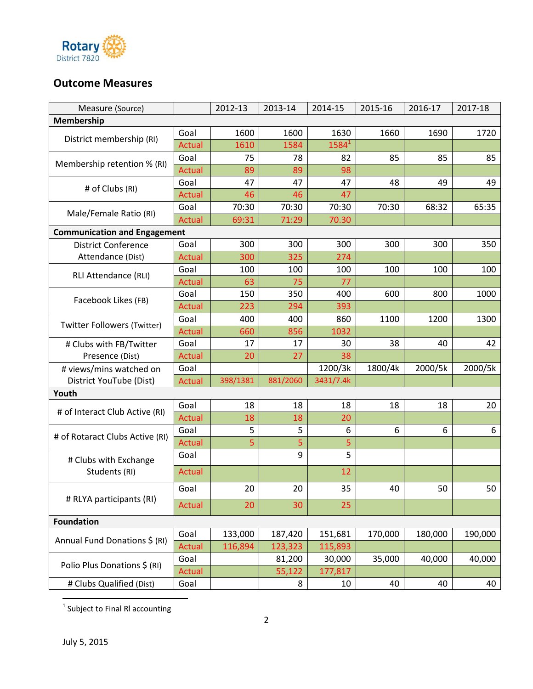

## **Outcome Measures**

| Measure (Source)                    |               | 2012-13  | 2013-14  | 2014-15   | 2015-16 | 2016-17 | 2017-18 |
|-------------------------------------|---------------|----------|----------|-----------|---------|---------|---------|
| Membership                          |               |          |          |           |         |         |         |
| District membership (RI)            | Goal          | 1600     | 1600     | 1630      | 1660    | 1690    | 1720    |
|                                     | <b>Actual</b> | 1610     | 1584     | $1584^1$  |         |         |         |
| Membership retention % (RI)         | Goal          | 75       | 78       | 82        | 85      | 85      | 85      |
|                                     | <b>Actual</b> | 89       | 89       | 98        |         |         |         |
| # of Clubs (RI)                     | Goal          | 47       | 47       | 47        | 48      | 49      | 49      |
|                                     | Actual        | 46       | 46       | 47        |         |         |         |
| Male/Female Ratio (RI)              | Goal          | 70:30    | 70:30    | 70:30     | 70:30   | 68:32   | 65:35   |
|                                     | Actual        | 69:31    | 71:29    | 70.30     |         |         |         |
| <b>Communication and Engagement</b> |               |          |          |           |         |         |         |
| <b>District Conference</b>          | Goal          | 300      | 300      | 300       | 300     | 300     | 350     |
| Attendance (Dist)                   | Actual        | 300      | 325      | 274       |         |         |         |
| RLI Attendance (RLI)                | Goal          | 100      | 100      | 100       | 100     | 100     | 100     |
|                                     | <b>Actual</b> | 63       | 75       | 77        |         |         |         |
| Facebook Likes (FB)                 | Goal          | 150      | 350      | 400       | 600     | 800     | 1000    |
|                                     | <b>Actual</b> | 223      | 294      | 393       |         |         |         |
| <b>Twitter Followers (Twitter)</b>  | Goal          | 400      | 400      | 860       | 1100    | 1200    | 1300    |
|                                     | <b>Actual</b> | 660      | 856      | 1032      |         |         |         |
| # Clubs with FB/Twitter             | Goal          | 17       | 17       | 30        | 38      | 40      | 42      |
| Presence (Dist)                     | Actual        | 20       | 27       | 38        |         |         |         |
| # views/mins watched on             | Goal          |          |          | 1200/3k   | 1800/4k | 2000/5k | 2000/5k |
| District YouTube (Dist)             | <b>Actual</b> | 398/1381 | 881/2060 | 3431/7.4k |         |         |         |
| Youth                               |               |          |          |           |         |         |         |
| # of Interact Club Active (RI)      | Goal          | 18       | 18       | 18        | 18      | 18      | 20      |
|                                     | <b>Actual</b> | 18       | 18       | 20        |         |         |         |
| # of Rotaract Clubs Active (RI)     | Goal          | 5        | 5        | 6         | 6       | 6       | 6       |
|                                     | Actual        | 5        | 5        | 5         |         |         |         |
| # Clubs with Exchange               | Goal          |          | 9        | 5         |         |         |         |
| Students (RI)                       | Actual        |          |          | 12        |         |         |         |
|                                     | Goal          | 20       | 20       | 35        | 40      | 50      | 50      |
| # RLYA participants (RI)            | <b>Actual</b> | 20       | 30       | 25        |         |         |         |
| <b>Foundation</b>                   |               |          |          |           |         |         |         |
|                                     | Goal          | 133,000  | 187,420  | 151,681   | 170,000 | 180,000 | 190,000 |
| Annual Fund Donations \$ (RI)       | Actual        | 116,894  | 123,323  | 115,893   |         |         |         |
|                                     | Goal          |          | 81,200   | 30,000    | 35,000  | 40,000  | 40,000  |
| Polio Plus Donations \$ (RI)        | <b>Actual</b> |          | 55,122   | 177,817   |         |         |         |
| # Clubs Qualified (Dist)            | Goal          |          | 8        | 10        | 40      | 40      | 40      |

<u>.</u><br><sup>1</sup> Subject to Final RI accounting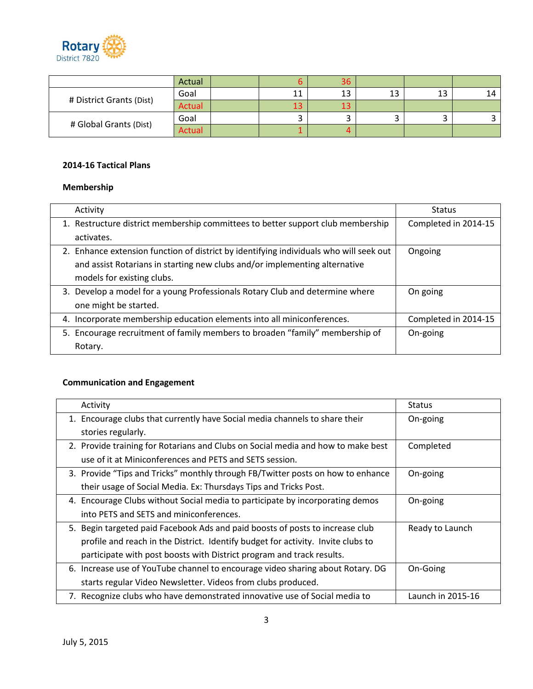

|                          | Actual        | 36 |         |    |    |
|--------------------------|---------------|----|---------|----|----|
| # District Grants (Dist) | Goal          |    | 12<br>∸ | ⊥ఎ | 14 |
|                          | Actual        |    |         |    |    |
| # Global Grants (Dist)   | Goal          |    |         |    |    |
|                          | <b>Actual</b> |    |         |    |    |

#### **2014-16 Tactical Plans**

## **Membership**

| Activity                                                                               | <b>Status</b>        |
|----------------------------------------------------------------------------------------|----------------------|
| 1. Restructure district membership committees to better support club membership        | Completed in 2014-15 |
| activates.                                                                             |                      |
| 2. Enhance extension function of district by identifying individuals who will seek out | Ongoing              |
| and assist Rotarians in starting new clubs and/or implementing alternative             |                      |
| models for existing clubs.                                                             |                      |
| 3. Develop a model for a young Professionals Rotary Club and determine where           | On going             |
| one might be started.                                                                  |                      |
| 4. Incorporate membership education elements into all miniconferences.                 | Completed in 2014-15 |
| 5. Encourage recruitment of family members to broaden "family" membership of           | On-going             |
| Rotary.                                                                                |                      |

## **Communication and Engagement**

| Activity                                                                         | Status            |
|----------------------------------------------------------------------------------|-------------------|
| 1. Encourage clubs that currently have Social media channels to share their      | On-going          |
| stories regularly.                                                               |                   |
| 2. Provide training for Rotarians and Clubs on Social media and how to make best | Completed         |
| use of it at Miniconferences and PETS and SETS session.                          |                   |
| 3. Provide "Tips and Tricks" monthly through FB/Twitter posts on how to enhance  | On-going          |
| their usage of Social Media. Ex: Thursdays Tips and Tricks Post.                 |                   |
| 4. Encourage Clubs without Social media to participate by incorporating demos    | On-going          |
| into PETS and SETS and miniconferences.                                          |                   |
| 5. Begin targeted paid Facebook Ads and paid boosts of posts to increase club    | Ready to Launch   |
| profile and reach in the District. Identify budget for activity. Invite clubs to |                   |
| participate with post boosts with District program and track results.            |                   |
| 6. Increase use of YouTube channel to encourage video sharing about Rotary. DG   | On-Going          |
| starts regular Video Newsletter. Videos from clubs produced.                     |                   |
| 7. Recognize clubs who have demonstrated innovative use of Social media to       | Launch in 2015-16 |